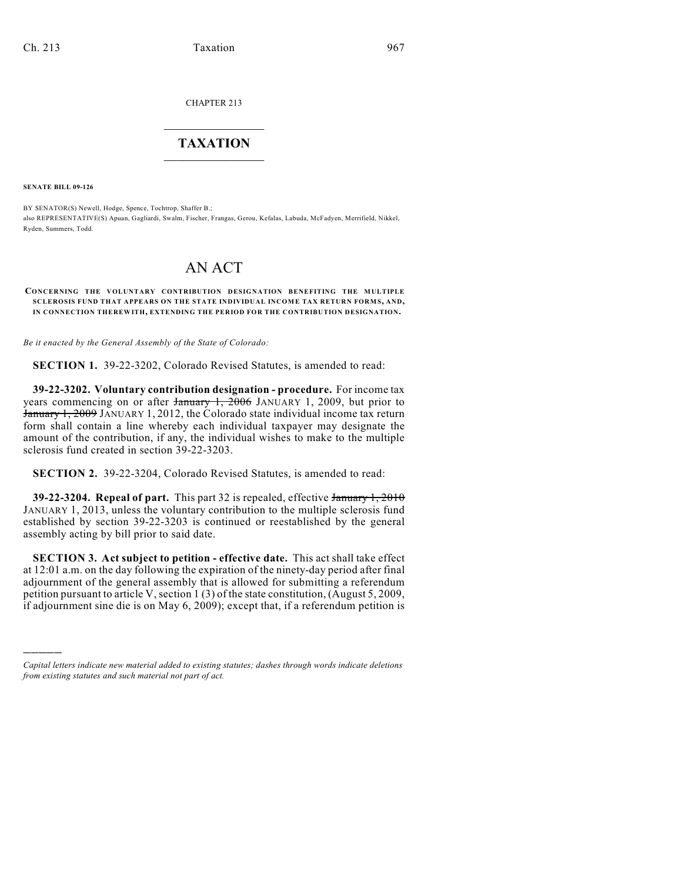CHAPTER 213

## $\mathcal{L}_\text{max}$  . The set of the set of the set of the set of the set of the set of the set of the set of the set of the set of the set of the set of the set of the set of the set of the set of the set of the set of the set **TAXATION**  $\_$

**SENATE BILL 09-126**

)))))

BY SENATOR(S) Newell, Hodge, Spence, Tochtrop, Shaffer B.; also REPRESENTATIVE(S) Apuan, Gagliardi, Swalm, Fischer, Frangas, Gerou, Kefalas, Labuda, McFadyen, Merrifield, Nikkel, Ryden, Summers, Todd.

## AN ACT

## **CONCERNING THE VOLUNTARY CONTRIBUTION DESIGNATION BENEFITING THE MULTIPLE SCLEROSIS FUND THAT APPEARS ON THE STATE INDIVIDUAL INCOME TAX RETURN FORMS, AND, IN CONNECTION THEREWITH, EXTENDING THE PERIOD FOR THE CONTRIBUTION DESIGNATION.**

*Be it enacted by the General Assembly of the State of Colorado:*

**SECTION 1.** 39-22-3202, Colorado Revised Statutes, is amended to read:

**39-22-3202. Voluntary contribution designation - procedure.** For income tax years commencing on or after  $\frac{1}{2006}$  JANUARY 1, 2009, but prior to January 1, 2009 JANUARY 1, 2012, the Colorado state individual income tax return form shall contain a line whereby each individual taxpayer may designate the amount of the contribution, if any, the individual wishes to make to the multiple sclerosis fund created in section 39-22-3203.

**SECTION 2.** 39-22-3204, Colorado Revised Statutes, is amended to read:

**39-22-3204. Repeal of part.** This part 32 is repealed, effective January 1, 2010 JANUARY 1, 2013, unless the voluntary contribution to the multiple sclerosis fund established by section 39-22-3203 is continued or reestablished by the general assembly acting by bill prior to said date.

**SECTION 3. Act subject to petition - effective date.** This act shall take effect at 12:01 a.m. on the day following the expiration of the ninety-day period after final adjournment of the general assembly that is allowed for submitting a referendum petition pursuant to article V, section 1 (3) of the state constitution, (August 5, 2009, if adjournment sine die is on May 6, 2009); except that, if a referendum petition is

*Capital letters indicate new material added to existing statutes; dashes through words indicate deletions from existing statutes and such material not part of act.*